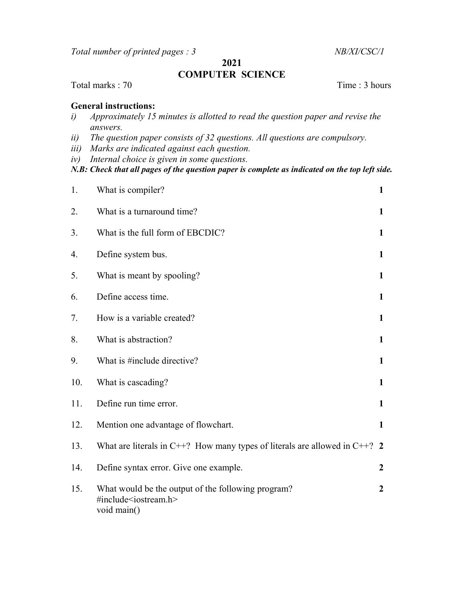Total number of printed pages : 3 NB/XI/CSC/1

2021

## COMPUTER SCIENCE

## Total marks : 70 Time : 3 hours

## General instructions:

- i) Approximately 15 minutes is allotted to read the question paper and revise the answers.
- ii) The question paper consists of 32 questions. All questions are compulsory.
- iii) Marks are indicated against each question.
- iv) Internal choice is given in some questions.

## $N.B: Check that all pages of the question paper is complete as indicated on the top left side.$

| 1.  | What is compiler?                                                                                        | $\mathbf{1}$     |
|-----|----------------------------------------------------------------------------------------------------------|------------------|
| 2.  | What is a turnaround time?                                                                               | $\mathbf{1}$     |
| 3.  | What is the full form of EBCDIC?                                                                         | $\mathbf{1}$     |
| 4.  | Define system bus.                                                                                       | $\mathbf{1}$     |
| 5.  | What is meant by spooling?                                                                               | $\mathbf{1}$     |
| 6.  | Define access time.                                                                                      | $\mathbf{1}$     |
| 7.  | How is a variable created?                                                                               | $\mathbf{1}$     |
| 8.  | What is abstraction?                                                                                     | $\mathbf{1}$     |
| 9.  | What is #include directive?                                                                              | $\mathbf{1}$     |
| 10. | What is cascading?                                                                                       | $\mathbf{1}$     |
| 11. | Define run time error.                                                                                   | $\mathbf{1}$     |
| 12. | Mention one advantage of flowchart.                                                                      | $\mathbf{1}$     |
| 13. | What are literals in C++? How many types of literals are allowed in C++? 2                               |                  |
| 14. | Define syntax error. Give one example.                                                                   | $\boldsymbol{2}$ |
| 15. | What would be the output of the following program?<br>#include <iostream.h><br/>void main()</iostream.h> | $\overline{2}$   |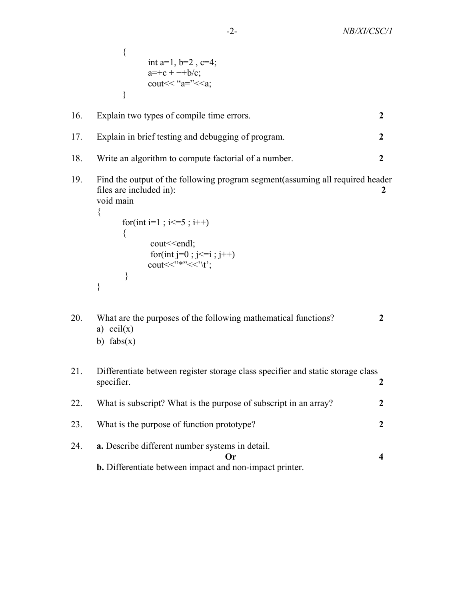{ int a=1,  $b=2$ ,  $c=4$ ;  $a=+c + ++b/c;$ cout $<<$ " $a=$ " $<<$  $a$ ; }

| 16. | Explain two types of compile time errors.                |  |
|-----|----------------------------------------------------------|--|
|     | 17. Explain in brief testing and debugging of program.   |  |
|     | 18. Write an algorithm to compute factorial of a number. |  |
|     |                                                          |  |

19. Find the output of the following program segment(assuming all required header files are included in): 2 void main

```
{ 
                for(int i=1 ; i \leq =5 ; i ++)
\{ cout<<endl; 
                          for(int j=0; j \leq i; j++)cout << \cdot *** \cdot < \cdot \text{\te{\te{\te{-t}}}$
 } 
        }
```

```
20. What are the purposes of the following mathematical functions?
     a) ceil(x)b) fabs(x)
```

```
21. Differentiate between register storage class specifier and static storage class 
        specifier. 2
22. What is subscript? What is the purpose of subscript in an array? 2
23. What is the purpose of function prototype?
24. a. Describe different number systems in detail. 
                                                   \mathbf{O}_r and \mathbf{O}_r and \mathbf{O}_r and \mathbf{O}_r are \mathbf{O}_r and \mathbf{O}_r and \mathbf{O}_r are \mathbf{O}_r and \mathbf{O}_r are \mathbf{O}_r and \mathbf{O}_r are \mathbf{O}_r and \mathbf{O}_r are \mathbf{O}_r and \mathbf{O}_r are \mathbf{O}_r a
        b. Differentiate between impact and non-impact printer.
```